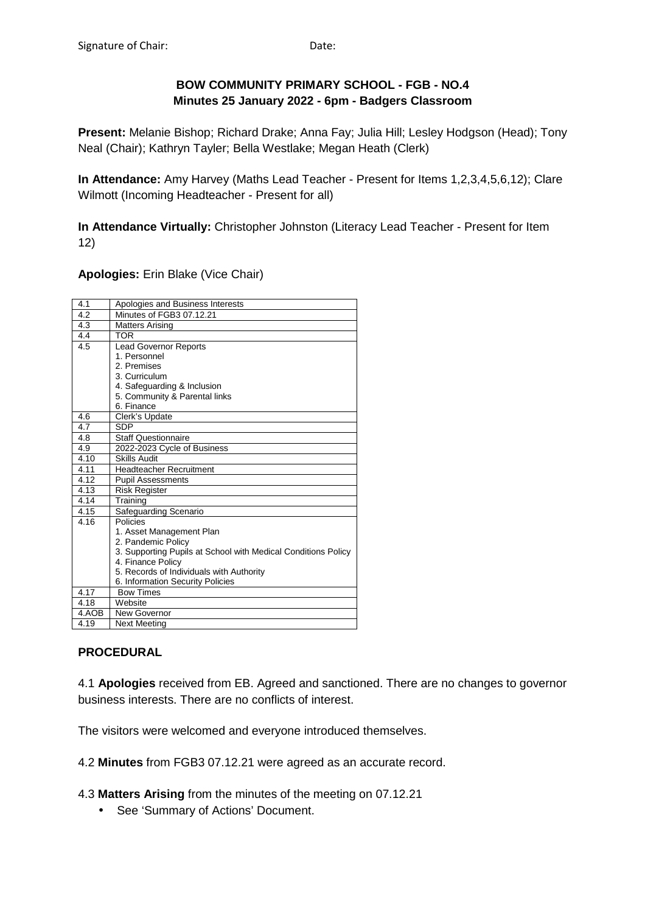# **BOW COMMUNITY PRIMARY SCHOOL - FGB - NO.4 Minutes 25 January 2022 - 6pm - Badgers Classroom**

**Present:** Melanie Bishop; Richard Drake; Anna Fay; Julia Hill; Lesley Hodgson (Head); Tony Neal (Chair); Kathryn Tayler; Bella Westlake; Megan Heath (Clerk)

**In Attendance:** Amy Harvey (Maths Lead Teacher - Present for Items 1,2,3,4,5,6,12); Clare Wilmott (Incoming Headteacher - Present for all)

**In Attendance Virtually:** Christopher Johnston (Literacy Lead Teacher - Present for Item 12)

**Apologies:** Erin Blake (Vice Chair)

| 4.1   | Apologies and Business Interests                              |
|-------|---------------------------------------------------------------|
| 4.2   | Minutes of FGB3 07.12.21                                      |
| 4.3   | <b>Matters Arising</b>                                        |
| 4.4   | <b>TOR</b>                                                    |
| 4.5   | <b>Lead Governor Reports</b>                                  |
|       | 1. Personnel                                                  |
|       | 2. Premises                                                   |
|       | 3. Curriculum                                                 |
|       | 4. Safeguarding & Inclusion                                   |
|       | 5. Community & Parental links                                 |
|       | 6. Finance                                                    |
| 4.6   | Clerk's Update                                                |
| 4.7   | <b>SDP</b>                                                    |
| 4.8   | <b>Staff Questionnaire</b>                                    |
| 4.9   | 2022-2023 Cycle of Business                                   |
| 4.10  | <b>Skills Audit</b>                                           |
| 4.11  | Headteacher Recruitment                                       |
| 4.12  | <b>Pupil Assessments</b>                                      |
| 4.13  | <b>Risk Register</b>                                          |
| 4.14  | Training                                                      |
| 4.15  | Safeguarding Scenario                                         |
| 4.16  | Policies                                                      |
|       | 1. Asset Management Plan                                      |
|       | 2. Pandemic Policy                                            |
|       | 3. Supporting Pupils at School with Medical Conditions Policy |
|       | 4. Finance Policy                                             |
|       | 5. Records of Individuals with Authority                      |
|       | 6. Information Security Policies                              |
| 4.17  | <b>Bow Times</b>                                              |
| 4.18  | Website                                                       |
| 4.AOB | New Governor                                                  |
| 4.19  | Next Meeting                                                  |

## **PROCEDURAL**

4.1 **Apologies** received from EB. Agreed and sanctioned. There are no changes to governor business interests. There are no conflicts of interest.

The visitors were welcomed and everyone introduced themselves.

4.2 **Minutes** from FGB3 07.12.21 were agreed as an accurate record.

4.3 **Matters Arising** from the minutes of the meeting on 07.12.21

• See 'Summary of Actions' Document.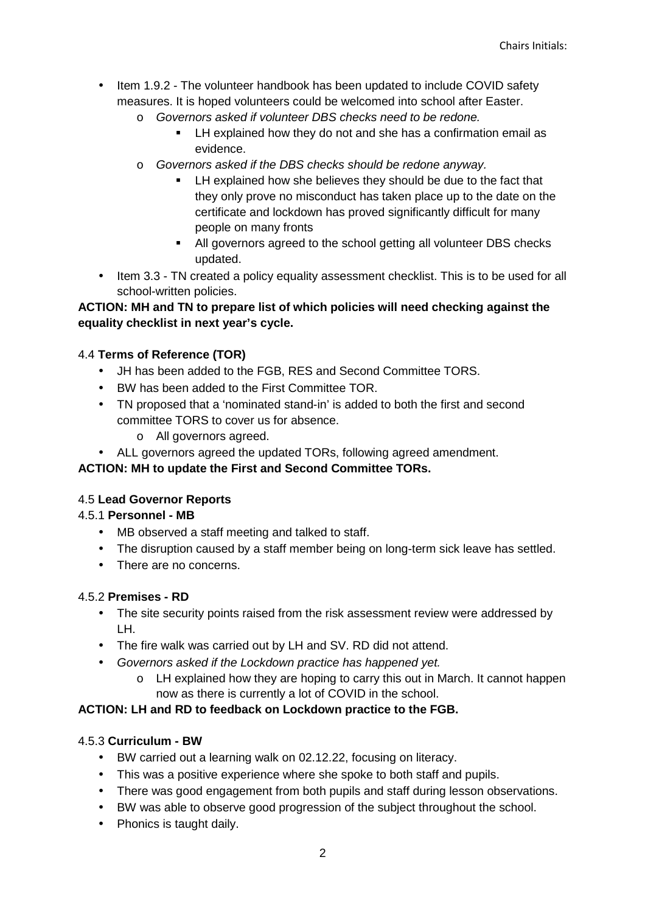- Item 1.9.2 The volunteer handbook has been updated to include COVID safety measures. It is hoped volunteers could be welcomed into school after Easter.
	- o Governors asked if volunteer DBS checks need to be redone.
		- LH explained how they do not and she has a confirmation email as evidence.
	- o Governors asked if the DBS checks should be redone anyway.
		- LH explained how she believes they should be due to the fact that they only prove no misconduct has taken place up to the date on the certificate and lockdown has proved significantly difficult for many people on many fronts
		- All governors agreed to the school getting all volunteer DBS checks updated.
- Item 3.3 TN created a policy equality assessment checklist. This is to be used for all school-written policies.

## **ACTION: MH and TN to prepare list of which policies will need checking against the equality checklist in next year's cycle.**

### 4.4 **Terms of Reference (TOR)**

- JH has been added to the FGB, RES and Second Committee TORS.
- BW has been added to the First Committee TOR.
- TN proposed that a 'nominated stand-in' is added to both the first and second committee TORS to cover us for absence.
	- o All governors agreed.
- ALL governors agreed the updated TORs, following agreed amendment.

### **ACTION: MH to update the First and Second Committee TORs.**

### 4.5 **Lead Governor Reports**

### 4.5.1 **Personnel - MB**

- MB observed a staff meeting and talked to staff.
- The disruption caused by a staff member being on long-term sick leave has settled.
- There are no concerns.

### 4.5.2 **Premises - RD**

- The site security points raised from the risk assessment review were addressed by LH.
- The fire walk was carried out by LH and SV. RD did not attend.
- Governors asked if the Lockdown practice has happened yet.
	- o LH explained how they are hoping to carry this out in March. It cannot happen now as there is currently a lot of COVID in the school.

### **ACTION: LH and RD to feedback on Lockdown practice to the FGB.**

### 4.5.3 **Curriculum - BW**

- BW carried out a learning walk on 02.12.22, focusing on literacy.
- This was a positive experience where she spoke to both staff and pupils.
- There was good engagement from both pupils and staff during lesson observations.
- BW was able to observe good progression of the subject throughout the school.
- Phonics is taught daily.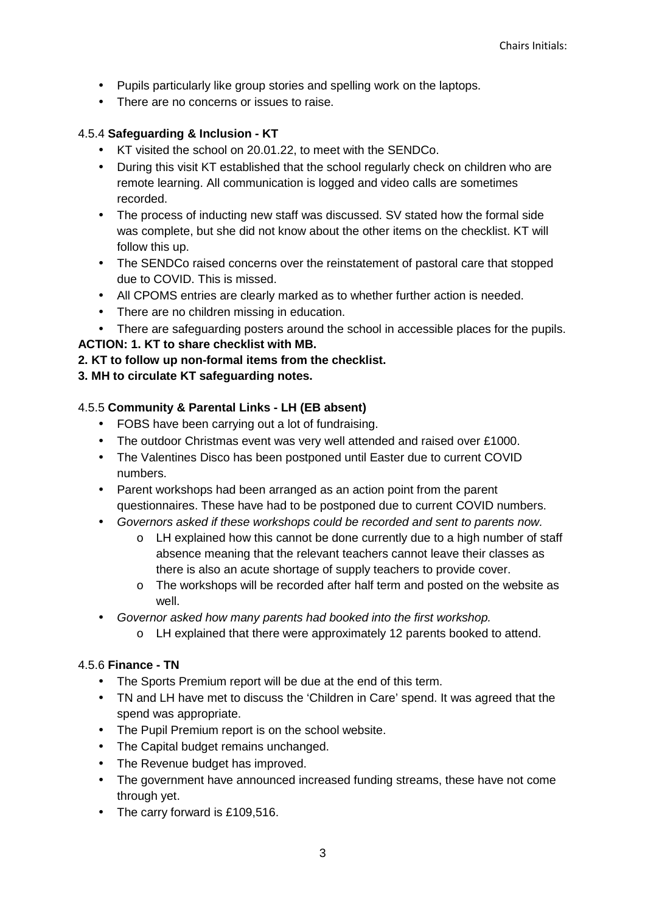- Pupils particularly like group stories and spelling work on the laptops.
- There are no concerns or issues to raise.

## 4.5.4 **Safeguarding & Inclusion - KT**

- KT visited the school on 20.01.22, to meet with the SENDCo.
- During this visit KT established that the school regularly check on children who are remote learning. All communication is logged and video calls are sometimes recorded.
- The process of inducting new staff was discussed. SV stated how the formal side was complete, but she did not know about the other items on the checklist. KT will follow this up.
- The SENDCo raised concerns over the reinstatement of pastoral care that stopped due to COVID. This is missed.
- All CPOMS entries are clearly marked as to whether further action is needed.
- There are no children missing in education.
- There are safeguarding posters around the school in accessible places for the pupils.

# **ACTION: 1. KT to share checklist with MB.**

- **2. KT to follow up non-formal items from the checklist.**
- **3. MH to circulate KT safeguarding notes.**

# 4.5.5 **Community & Parental Links - LH (EB absent)**

- FOBS have been carrying out a lot of fundraising.
- The outdoor Christmas event was very well attended and raised over £1000.
- The Valentines Disco has been postponed until Easter due to current COVID numbers.
- Parent workshops had been arranged as an action point from the parent questionnaires. These have had to be postponed due to current COVID numbers.
- Governors asked if these workshops could be recorded and sent to parents now.
	- $\circ$  LH explained how this cannot be done currently due to a high number of staff absence meaning that the relevant teachers cannot leave their classes as there is also an acute shortage of supply teachers to provide cover.
	- $\circ$  The workshops will be recorded after half term and posted on the website as well.
- Governor asked how many parents had booked into the first workshop.
	- o LH explained that there were approximately 12 parents booked to attend.

## 4.5.6 **Finance - TN**

- The Sports Premium report will be due at the end of this term.
- TN and LH have met to discuss the 'Children in Care' spend. It was agreed that the spend was appropriate.
- The Pupil Premium report is on the school website.
- The Capital budget remains unchanged.
- The Revenue budget has improved.
- The government have announced increased funding streams, these have not come through yet.
- The carry forward is £109,516.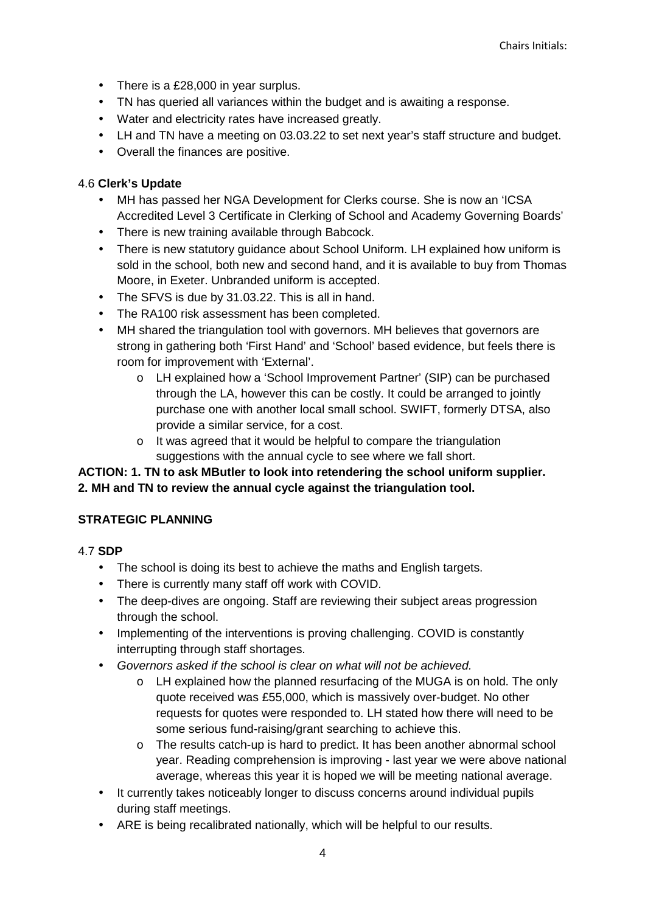- There is a £28,000 in year surplus.
- TN has queried all variances within the budget and is awaiting a response.
- Water and electricity rates have increased greatly.
- LH and TN have a meeting on 03.03.22 to set next year's staff structure and budget.
- Overall the finances are positive.

## 4.6 **Clerk's Update**

- MH has passed her NGA Development for Clerks course. She is now an 'ICSA Accredited Level 3 Certificate in Clerking of School and Academy Governing Boards'
- There is new training available through Babcock.
- There is new statutory quidance about School Uniform. LH explained how uniform is sold in the school, both new and second hand, and it is available to buy from Thomas Moore, in Exeter. Unbranded uniform is accepted.
- The SFVS is due by 31.03.22. This is all in hand.
- The RA100 risk assessment has been completed.
- MH shared the triangulation tool with governors. MH believes that governors are strong in gathering both 'First Hand' and 'School' based evidence, but feels there is room for improvement with 'External'.
	- o LH explained how a 'School Improvement Partner' (SIP) can be purchased through the LA, however this can be costly. It could be arranged to jointly purchase one with another local small school. SWIFT, formerly DTSA, also provide a similar service, for a cost.
	- o It was agreed that it would be helpful to compare the triangulation suggestions with the annual cycle to see where we fall short.

# **ACTION: 1. TN to ask MButler to look into retendering the school uniform supplier. 2. MH and TN to review the annual cycle against the triangulation tool.**

## **STRATEGIC PLANNING**

- 4.7 **SDP** 
	- The school is doing its best to achieve the maths and English targets.
	- There is currently many staff off work with COVID.
	- The deep-dives are ongoing. Staff are reviewing their subject areas progression through the school.
	- Implementing of the interventions is proving challenging. COVID is constantly interrupting through staff shortages.
	- Governors asked if the school is clear on what will not be achieved.
		- o LH explained how the planned resurfacing of the MUGA is on hold. The only quote received was £55,000, which is massively over-budget. No other requests for quotes were responded to. LH stated how there will need to be some serious fund-raising/grant searching to achieve this.
		- o The results catch-up is hard to predict. It has been another abnormal school year. Reading comprehension is improving - last year we were above national average, whereas this year it is hoped we will be meeting national average.
	- It currently takes noticeably longer to discuss concerns around individual pupils during staff meetings.
	- ARE is being recalibrated nationally, which will be helpful to our results.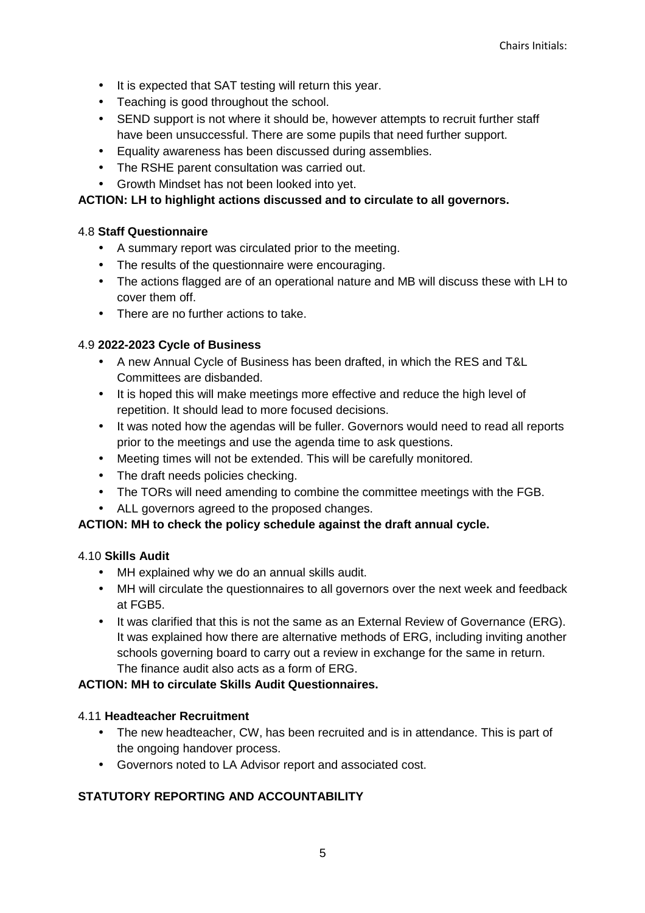- It is expected that SAT testing will return this year.
- Teaching is good throughout the school.
- SEND support is not where it should be, however attempts to recruit further staff have been unsuccessful. There are some pupils that need further support.
- Equality awareness has been discussed during assemblies.
- The RSHE parent consultation was carried out.
- Growth Mindset has not been looked into yet.

### **ACTION: LH to highlight actions discussed and to circulate to all governors.**

### 4.8 **Staff Questionnaire**

- A summary report was circulated prior to the meeting.
- The results of the questionnaire were encouraging.
- The actions flagged are of an operational nature and MB will discuss these with LH to cover them off.
- There are no further actions to take.

### 4.9 **2022-2023 Cycle of Business**

- A new Annual Cycle of Business has been drafted, in which the RES and T&L Committees are disbanded.
- It is hoped this will make meetings more effective and reduce the high level of repetition. It should lead to more focused decisions.
- It was noted how the agendas will be fuller. Governors would need to read all reports prior to the meetings and use the agenda time to ask questions.
- Meeting times will not be extended. This will be carefully monitored.
- The draft needs policies checking.
- The TORs will need amending to combine the committee meetings with the FGB.
- ALL governors agreed to the proposed changes.

## **ACTION: MH to check the policy schedule against the draft annual cycle.**

### 4.10 **Skills Audit**

- MH explained why we do an annual skills audit.
- MH will circulate the questionnaires to all governors over the next week and feedback at FGB5.
- It was clarified that this is not the same as an External Review of Governance (ERG). It was explained how there are alternative methods of ERG, including inviting another schools governing board to carry out a review in exchange for the same in return. The finance audit also acts as a form of ERG.

### **ACTION: MH to circulate Skills Audit Questionnaires.**

### 4.11 **Headteacher Recruitment**

- The new headteacher, CW, has been recruited and is in attendance. This is part of the ongoing handover process.
- Governors noted to LA Advisor report and associated cost.

## **STATUTORY REPORTING AND ACCOUNTABILITY**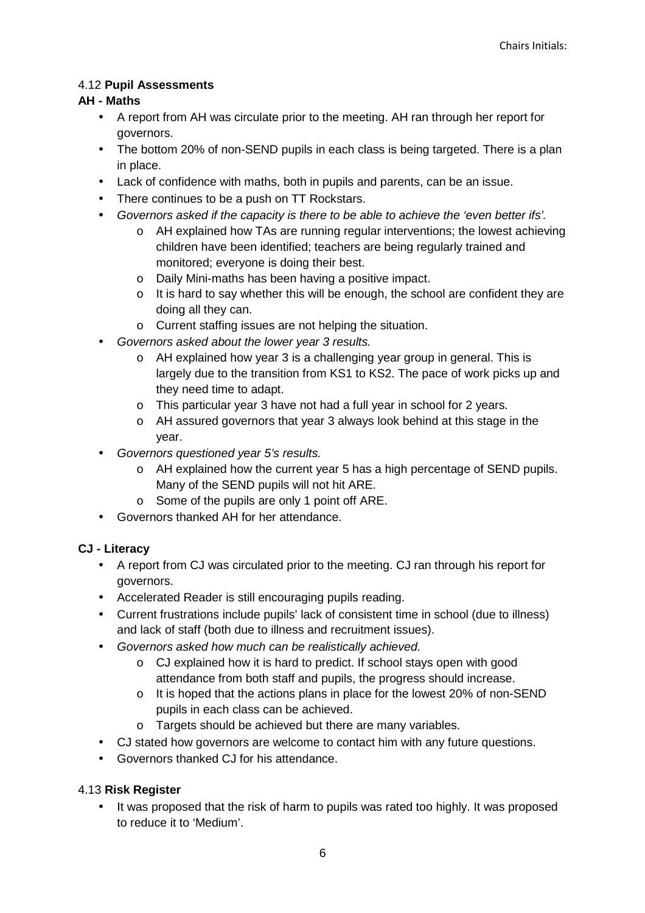# 4.12 **Pupil Assessments**

# **AH - Maths**

- A report from AH was circulate prior to the meeting. AH ran through her report for governors.
- The bottom 20% of non-SEND pupils in each class is being targeted. There is a plan in place.
- Lack of confidence with maths, both in pupils and parents, can be an issue.
- There continues to be a push on TT Rockstars.
- Governors asked if the capacity is there to be able to achieve the 'even better ifs'.
	- o AH explained how TAs are running regular interventions; the lowest achieving children have been identified; teachers are being regularly trained and monitored; everyone is doing their best.
	- o Daily Mini-maths has been having a positive impact.
	- $\circ$  It is hard to say whether this will be enough, the school are confident they are doing all they can.
	- o Current staffing issues are not helping the situation.
- Governors asked about the lower year 3 results.
	- o AH explained how year 3 is a challenging year group in general. This is largely due to the transition from KS1 to KS2. The pace of work picks up and they need time to adapt.
	- o This particular year 3 have not had a full year in school for 2 years.
	- o AH assured governors that year 3 always look behind at this stage in the year.
- Governors questioned year 5's results.
	- o AH explained how the current year 5 has a high percentage of SEND pupils. Many of the SEND pupils will not hit ARE.
	- o Some of the pupils are only 1 point off ARE.
- Governors thanked AH for her attendance.

## **CJ - Literacy**

- A report from CJ was circulated prior to the meeting. CJ ran through his report for governors.
- Accelerated Reader is still encouraging pupils reading.
- Current frustrations include pupils' lack of consistent time in school (due to illness) and lack of staff (both due to illness and recruitment issues).
- Governors asked how much can be realistically achieved.
	- o CJ explained how it is hard to predict. If school stays open with good attendance from both staff and pupils, the progress should increase.
	- $\circ$  It is hoped that the actions plans in place for the lowest 20% of non-SEND pupils in each class can be achieved.
	- o Targets should be achieved but there are many variables.
- CJ stated how governors are welcome to contact him with any future questions.
- Governors thanked CJ for his attendance.

## 4.13 **Risk Register**

• It was proposed that the risk of harm to pupils was rated too highly. It was proposed to reduce it to 'Medium'.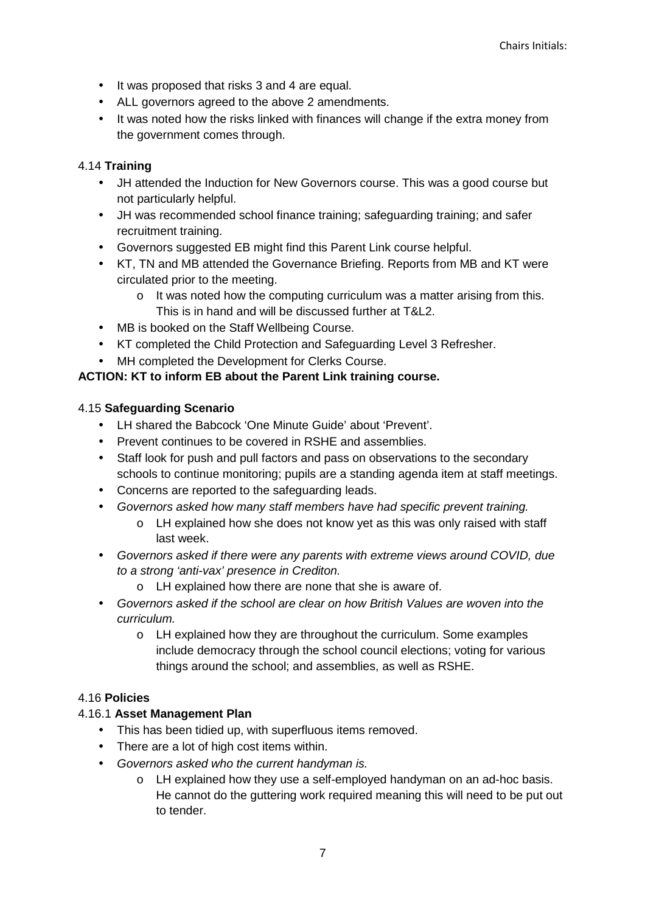- It was proposed that risks 3 and 4 are equal.
- ALL governors agreed to the above 2 amendments.
- It was noted how the risks linked with finances will change if the extra money from the government comes through.

## 4.14 **Training**

- JH attended the Induction for New Governors course. This was a good course but not particularly helpful.
- JH was recommended school finance training; safeguarding training; and safer recruitment training.
- Governors suggested EB might find this Parent Link course helpful.
- KT, TN and MB attended the Governance Briefing. Reports from MB and KT were circulated prior to the meeting.
	- $\circ$  It was noted how the computing curriculum was a matter arising from this. This is in hand and will be discussed further at T&L2.
- MB is booked on the Staff Wellbeing Course.
- KT completed the Child Protection and Safeguarding Level 3 Refresher.
- MH completed the Development for Clerks Course.

# **ACTION: KT to inform EB about the Parent Link training course.**

## 4.15 **Safeguarding Scenario**

- LH shared the Babcock 'One Minute Guide' about 'Prevent'.
- Prevent continues to be covered in RSHE and assemblies.
- Staff look for push and pull factors and pass on observations to the secondary schools to continue monitoring; pupils are a standing agenda item at staff meetings.
- Concerns are reported to the safeguarding leads.
- Governors asked how many staff members have had specific prevent training.
	- o LH explained how she does not know yet as this was only raised with staff last week.
- Governors asked if there were any parents with extreme views around COVID, due to a strong 'anti-vax' presence in Crediton.
	- o LH explained how there are none that she is aware of.
- Governors asked if the school are clear on how British Values are woven into the curriculum.
	- o LH explained how they are throughout the curriculum. Some examples include democracy through the school council elections; voting for various things around the school; and assemblies, as well as RSHE.

## 4.16 **Policies**

## 4.16.1 **Asset Management Plan**

- This has been tidied up, with superfluous items removed.
- There are a lot of high cost items within.
- Governors asked who the current handyman is.
	- o LH explained how they use a self-employed handyman on an ad-hoc basis. He cannot do the guttering work required meaning this will need to be put out to tender.